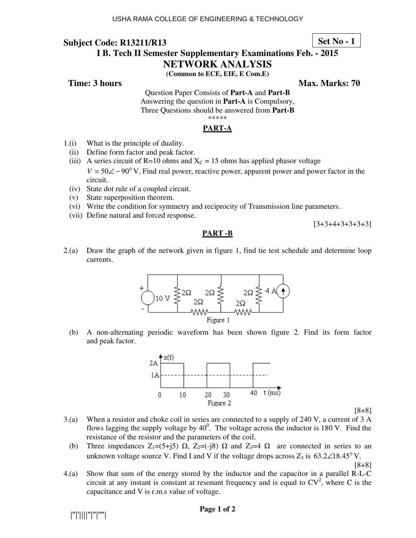# **Set No - 1**

# **I B. Tech II Semester Supplementary Examinations Feb. - 2015**

# **NETWORK ANALYSIS**

**(Common to ECE, EIE, E Com.E)** 

**Time: 3 hours Max. Marks: 70 Max. Marks: 70** 

Question Paper Consists of **Part-A** and **Part-B** Answering the question in **Part-A** is Compulsory, Three Questions should be answered from **Part-B** \*\*\*\*\*

#### **PART-A**

- 1.(i) What is the principle of duality.
	- (ii) Define form factor and peak factor.
	- (iii) A series circuit of R=10 ohms and  $X<sub>C</sub>$  = 15 ohms has applied phasor voltage  $V = 50 \angle 0.0^\circ$  V. Find real power, reactive power, apparent power and power factor in the circuit.
	- (iv) State dot rule of a coupled circuit.
	- (v) State superposition theorem.
	- (vi) Write the condition for symmetry and reciprocity of Transmission line parameters.
	- (vii) Define natural and forced response.

 $[3+3+4+3+3+3+3]$ 

#### **PART -B**

2.(a) Draw the graph of the network given in figure 1, find tie test schedule and determine loop currents.



 (b) A non-alternating periodic waveform has been shown figure 2. Find its form factor and peak factor.



[8+8]

- 3.(a) When a resistor and choke coil in series are connected to a supply of 240 V, a current of 3 A flows lagging the supply voltage by  $40^0$ . The voltage across the inductor is 180 V. Find the resistance of the resistor and the parameters of the coil.
	- (b) Three impedances  $Z_1=(5+j5)$   $\Omega$ ,  $Z_2=(-j8)$   $\Omega$  and  $Z_3=4$   $\Omega$  are connected in series to an unknown voltage source V. Find I and V if the voltage drops across  $Z_3$  is 63.2 $\angle$ 18.45<sup>°</sup>V.

[8+8]

4.(a) Show that sum of the energy stored by the inductor and the capacitor in a parallel R-L-C circuit at any instant is constant at resonant frequency and is equal to  $CV^2$ , where C is the capacitance and V is r.m.s value of voltage.

|''|'||||''|''|''''|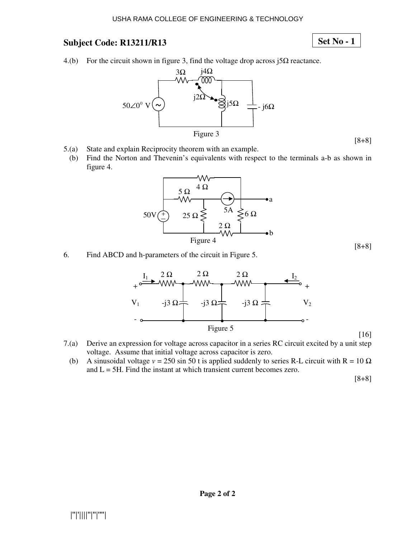#### USHA RAMA COLLEGE OF ENGINEERING & TECHNOLOGY

# **Subject Code: R13211/R13**

# **Set No - 1**

[8+8]

[8+8]

4.(b) For the circuit shown in figure 3, find the voltage drop across  $\beta \Omega$  reactance.



- 5.(a) State and explain Reciprocity theorem with an example.
	- (b) Find the Norton and Thevenin's equivalents with respect to the terminals a-b as shown in figure 4.



6. Find ABCD and h-parameters of the circuit in Figure 5.



- 7.(a) Derive an expression for voltage across capacitor in a series RC circuit excited by a unit step voltage. Assume that initial voltage across capacitor is zero.
- (b) A sinusoidal voltage  $v = 250 \sin 50$  t is applied suddenly to series R-L circuit with R =  $10 \Omega$ and  $L = 5H$ . Find the instant at which transient current becomes zero.

[8+8]

[16]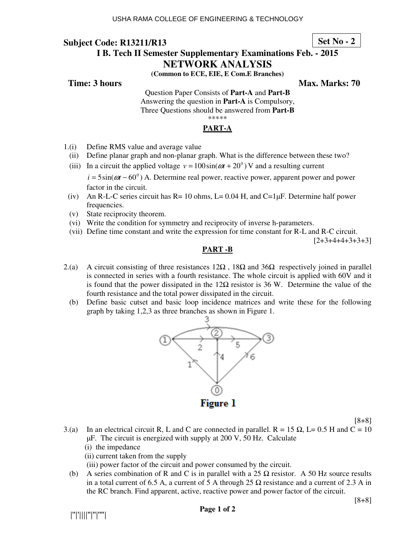# **I B. Tech II Semester Supplementary Examinations Feb. - 2015**

#### **Set No - 2**

# **NETWORK ANALYSIS**

**(Common to ECE, EIE, E Com.E Branches)** 

**Time: 3 hours Max. Marks: 70**  Max. Marks: 70

Question Paper Consists of **Part-A** and **Part-B** Answering the question in **Part-A** is Compulsory, Three Questions should be answered from **Part-B** \*\*\*\*\*

## **PART-A**

- 1.(i) Define RMS value and average value
	- (ii) Define planar graph and non-planar graph. What is the difference between these two?
- (iii) In a circuit the applied voltage  $v = 100 \sin(\omega t + 20^{\degree})$  V and a resulting current  $i = 5\sin(\omega t - 60^\circ)$  A. Determine real power, reactive power, apparent power and power

- (iv) An R-L-C series circuit has R= 10 ohms, L= 0.04 H, and C=1 $\mu$ F. Determine half power frequencies.
- (v) State reciprocity theorem.
- (vi) Write the condition for symmetry and reciprocity of inverse h-parameters.
- (vii) Define time constant and write the expression for time constant for R-L and R-C circuit.

 $[2+3+4+4+3+3+3]$ 

#### **PART -B**

- 2.(a) A circuit consisting of three resistances  $12\Omega$ ,  $18\Omega$  and  $36\Omega$  respectively joined in parallel is connected in series with a fourth resistance. The whole circuit is applied with 60V and it is found that the power dissipated in the  $12\Omega$  resistor is 36 W. Determine the value of the fourth resistance and the total power dissipated in the circuit.
	- (b) Define basic cutset and basic loop incidence matrices and write these for the following graph by taking 1,2,3 as three branches as shown in Figure 1.



- 3.(a) In an electrical circuit R, L and C are connected in parallel. R = 15  $\Omega$ , L= 0.5 H and C = 10  $\mu$ F. The circuit is energized with supply at 200 V, 50 Hz. Calculate (i) the impedance
	- (ii) current taken from the supply
	- (iii) power factor of the circuit and power consumed by the circuit.
	- (b) A series combination of R and C is in parallel with a 25  $\Omega$  resistor. A 50 Hz source results in a total current of 6.5 A, a current of 5 A through 25  $\Omega$  resistance and a current of 2.3 A in the RC branch. Find apparent, active, reactive power and power factor of the circuit.

|''|'||||''|''|''''|

factor in the circuit.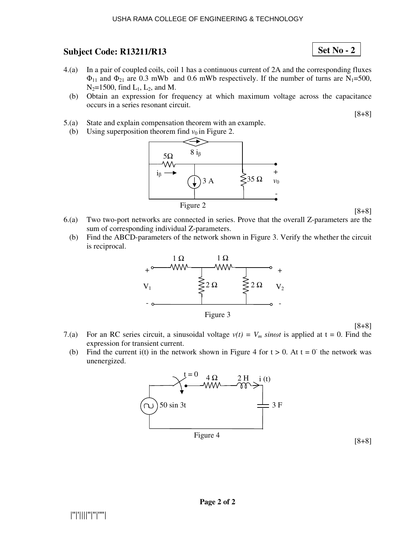#### USHA RAMA COLLEGE OF ENGINEERING & TECHNOLOGY

# **Subject Code: R13211/R13**

- 4.(a) In a pair of coupled coils, coil 1 has a continuous current of 2A and the corresponding fluxes  $\Phi_{11}$  and  $\Phi_{21}$  are 0.3 mWb and 0.6 mWb respectively. If the number of turns are N<sub>1</sub>=500,  $N_2$ =1500, find  $L_1$ ,  $L_2$ , and M.
	- (b) Obtain an expression for frequency at which maximum voltage across the capacitance occurs in a series resonant circuit.

[8+8]

**Set No - 2**

- 5.(a) State and explain compensation theorem with an example.
	- (b) Using superposition theorem find  $v_0$  in Figure 2.



[8+8]

- 6.(a) Two two-port networks are connected in series. Prove that the overall Z-parameters are the sum of corresponding individual Z-parameters.
	- (b) Find the ABCD-parameters of the network shown in Figure 3. Verify the whether the circuit is reciprocal.



[8+8]

- 7.(a) For an RC series circuit, a sinusoidal voltage  $v(t) = V_m$  sinot is applied at  $t = 0$ . Find the expression for transient current.
- (b) Find the current i(t) in the network shown in Figure 4 for  $t > 0$ . At  $t = 0$  the network was unenergized.

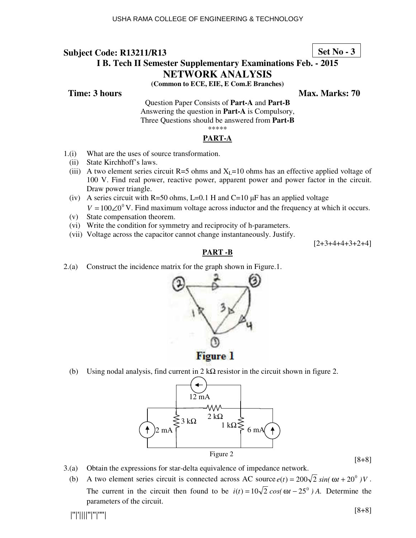## **Set No - 3**

# **I B. Tech II Semester Supplementary Examinations Feb. - 2015**

## **NETWORK ANALYSIS**

**(Common to ECE, EIE, E Com.E Branches)** 

**Time: 3 hours Max. Marks: 70 Max. Marks: 70** 

Question Paper Consists of **Part-A** and **Part-B** Answering the question in **Part-A** is Compulsory, Three Questions should be answered from **Part-B** \*\*\*\*\*

#### **PART-A**

- 1.(i) What are the uses of source transformation.
	- (ii) State Kirchhoff's laws.
	- (iii) A two element series circuit R=5 ohms and  $X_L$ =10 ohms has an effective applied voltage of 100 V. Find real power, reactive power, apparent power and power factor in the circuit. Draw power triangle.
	- (iv) A series circuit with R=50 ohms, L=0.1 H and C=10  $\mu$ F has an applied voltage  $V = 100 \angle 0^{\circ}$  V. Find maximum voltage across inductor and the frequency at which it occurs.
	- (v) State compensation theorem.
	- (vi) Write the condition for symmetry and reciprocity of h-parameters.
	- (vii) Voltage across the capacitor cannot change instantaneously. Justify.

 $[2+3+4+4+3+2+4]$ 

## **PART -B**

2.(a) Construct the incidence matrix for the graph shown in Figure.1.



(b) Using nodal analysis, find current in  $2 \text{ k}\Omega$  resistor in the circuit shown in figure 2.



[8+8]

- 3.(a) Obtain the expressions for star-delta equivalence of impedance network.
	- (b) A two element series circuit is connected across AC source  $e(t) = 200\sqrt{2} \sin(\omega t + 20^0) V$ . The current in the circuit then found to be  $i(t) = 10\sqrt{2} \cos(\omega t - 25^\circ)$  *A*. Determine the parameters of the circuit.

|''|'||||''|''|''''|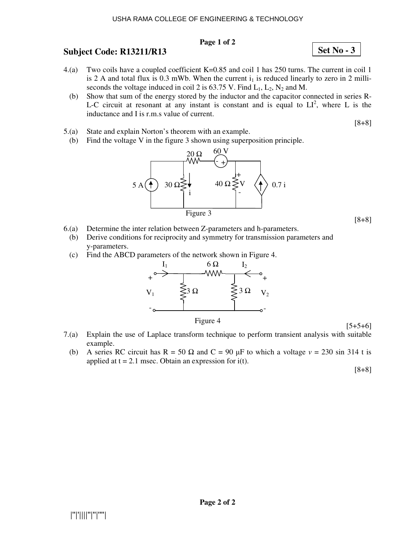#### USHA RAMA COLLEGE OF ENGINEERING & TECHNOLOGY

#### **Page 1 of 2**

# **Subject Code: R13211/R13**

- 4.(a) Two coils have a coupled coefficient K=0.85 and coil 1 has 250 turns. The current in coil 1 is 2 A and total flux is 0.3 mWb. When the current  $i_1$  is reduced linearly to zero in 2 milliseconds the voltage induced in coil 2 is 63.75 V. Find  $L_1$ ,  $L_2$ ,  $N_2$  and M.
	- (b) Show that sum of the energy stored by the inductor and the capacitor connected in series R-L-C circuit at resonant at any instant is constant and is equal to  $LI^2$ , where L is the inductance and I is r.m.s value of current.
- 5.(a) State and explain Norton's theorem with an example.
	- (b) Find the voltage V in the figure 3 shown using superposition principle.



- 6.(a) Determine the inter relation between Z-parameters and h-parameters.
	- (b) Derive conditions for reciprocity and symmetry for transmission parameters and y-parameters.
	- (c) Find the ABCD parameters of the network shown in Figure 4.



Figure 4

[5+5+6]

- 7.(a) Explain the use of Laplace transform technique to perform transient analysis with suitable example.
	- (b) A series RC circuit has R = 50  $\Omega$  and C = 90  $\mu$ F to which a voltage  $v = 230 \sin 314$  t is applied at  $t = 2.1$  msec. Obtain an expression for  $i(t)$ .

[8+8]

**Set No - 3**

[8+8]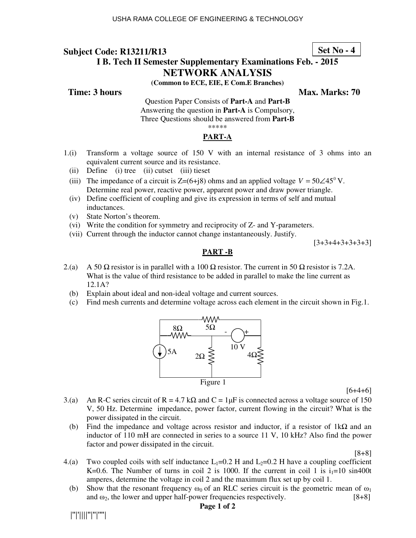**Set No - 4**

# **I B. Tech II Semester Supplementary Examinations Feb. - 2015**

# **NETWORK ANALYSIS**

**(Common to ECE, EIE, E Com.E Branches)** 

**Time: 3 hours Max. Marks: 70 Max. Marks: 70** 

Question Paper Consists of **Part-A** and **Part-B** Answering the question in **Part-A** is Compulsory, Three Questions should be answered from **Part-B** \*\*\*\*\*

## **PART-A**

- 1.(i) Transform a voltage source of 150 V with an internal resistance of 3 ohms into an equivalent current source and its resistance.
	- (ii) Define (i) tree (ii) cutset (iii) tieset
	- (iii) The impedance of a circuit is  $Z=(6+i8)$  ohms and an applied voltage  $V = 50\angle 45^{\circ}$  V. Determine real power, reactive power, apparent power and draw power triangle.
	- (iv) Define coefficient of coupling and give its expression in terms of self and mutual inductances.
	- (v) State Norton's theorem.
	- (vi) Write the condition for symmetry and reciprocity of Z- and Y-parameters.
	- (vii) Current through the inductor cannot change instantaneously. Justify.

 $[3+3+4+3+3+3+3]$ 

## **PART -B**

- 2.(a) A 50  $\Omega$  resistor is in parallel with a 100  $\Omega$  resistor. The current in 50  $\Omega$  resistor is 7.2A. What is the value of third resistance to be added in parallel to make the line current as 12.1A?
	- (b) Explain about ideal and non-ideal voltage and current sources.
	- (c) Find mesh currents and determine voltage across each element in the circuit shown in Fig.1.



[6+4+6]

- 3.(a) An R-C series circuit of R = 4.7 kΩ and C = 1µF is connected across a voltage source of 150 V, 50 Hz. Determine impedance, power factor, current flowing in the circuit? What is the power dissipated in the circuit.
	- (b) Find the impedance and voltage across resistor and inductor, if a resistor of  $1k\Omega$  and an inductor of 110 mH are connected in series to a source 11 V, 10 kHz? Also find the power factor and power dissipated in the circuit.

[8+8]

- 4.(a) Two coupled coils with self inductance  $L_1=0.2$  H and  $L_2=0.2$  H have a coupling coefficient K=0.6. The Number of turns in coil 2 is 1000. If the current in coil 1 is  $i_1=10$  sin400t amperes, determine the voltage in coil 2 and the maximum flux set up by coil 1.
	- (b) Show that the resonant frequency  $\omega_0$  of an RLC series circuit is the geometric mean of  $\omega_1$ and  $\omega_2$ , the lower and upper half-power frequencies respectively. [8+8]

#### **Page 1 of 2**